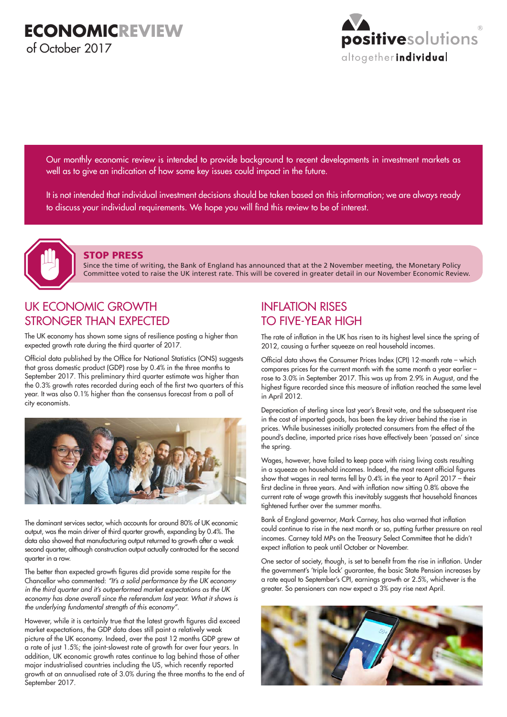

Our monthly economic review is intended to provide background to recent developments in investment markets as well as to give an indication of how some key issues could impact in the future.

It is not intended that individual investment decisions should be taken based on this information; we are always ready to discuss your individual requirements. We hope you will find this review to be of interest.



#### STOP PRESS

Since the time of writing, the Bank of England has announced that at the 2 November meeting, the Monetary Policy Committee voted to raise the UK interest rate. This will be covered in greater detail in our November Economic Review.

## UK ECONOMIC GROWTH STRONGER THAN EXPECTED

The UK economy has shown some signs of resilience posting a higher than expected growth rate during the third quarter of 2017.

Official data published by the Office for National Statistics (ONS) suggests that gross domestic product (GDP) rose by 0.4% in the three months to September 2017. This preliminary third quarter estimate was higher than the 0.3% growth rates recorded during each of the first two quarters of this year. It was also 0.1% higher than the consensus forecast from a poll of city economists.



The dominant services sector, which accounts for around 80% of UK economic output, was the main driver of third quarter growth, expanding by 0.4%. The data also showed that manufacturing output returned to growth after a weak second quarter, although construction output actually contracted for the second quarter in a row.

The better than expected growth figures did provide some respite for the Chancellor who commented: *"It's a solid performance by the UK economy in the third quarter and it's outperformed market expectations as the UK*  economy has done overall since the referendum last year. What it shows is *the underlying fundamental strength of this economy"*.

However, while it is certainly true that the latest growth figures did exceed market expectations, the GDP data does still paint a relatively weak picture of the UK economy. Indeed, over the past 12 months GDP grew at a rate of just 1.5%; the joint-slowest rate of growth for over four years. In addition, UK economic growth rates continue to lag behind those of other major industrialised countries including the US, which recently reported growth at an annualised rate of 3.0% during the three months to the end of September 2017.

# INFLATION RISES TO FIVE-YEAR HIGH

The rate of inflation in the UK has risen to its highest level since the spring of 2012, causing a further squeeze on real household incomes.

Official data shows the Consumer Prices Index (CPI) 12-month rate – which compares prices for the current month with the same month a year earlier – rose to 3.0% in September 2017. This was up from 2.9% in August, and the highest figure recorded since this measure of inflation reached the same level in April 2012.

Depreciation of sterling since last year's Brexit vote, and the subsequent rise in the cost of imported goods, has been the key driver behind the rise in prices. While businesses initially protected consumers from the effect of the pound's decline, imported price rises have effectively been 'passed on' since the spring.

Wages, however, have failed to keep pace with rising living costs resulting in a squeeze on household incomes. Indeed, the most recent official figures show that wages in real terms fell by 0.4% in the year to April 2017 – their first decline in three years. And with inflation now sitting 0.8% above the current rate of wage growth this inevitably suggests that household finances tightened further over the summer months.

Bank of England governor, Mark Carney, has also warned that inflation could continue to rise in the next month or so, putting further pressure on real incomes. Carney told MPs on the Treasury Select Committee that he didn't expect inflation to peak until October or November.

One sector of society, though, is set to benefit from the rise in inflation. Under the government's 'triple lock' guarantee, the basic State Pension increases by a rate equal to September's CPI, earnings growth or 2.5%, whichever is the greater. So pensioners can now expect a 3% pay rise next April.